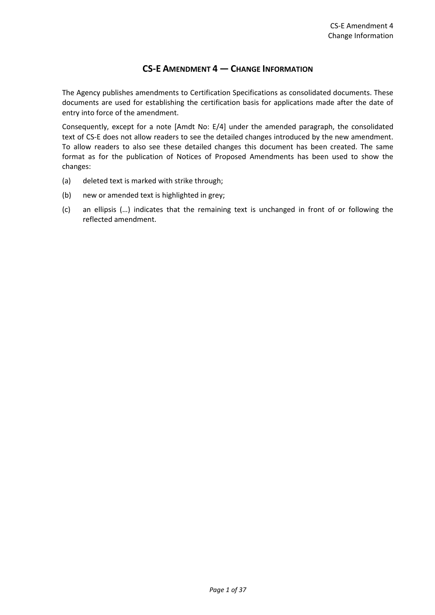# **CS-E AMENDMENT 4 — CHANGE INFORMATION**

The Agency publishes amendments to Certification Specifications as consolidated documents. These documents are used for establishing the certification basis for applications made after the date of entry into force of the amendment.

Consequently, except for a note [Amdt No: E/4] under the amended paragraph, the consolidated text of CS-E does not allow readers to see the detailed changes introduced by the new amendment. To allow readers to also see these detailed changes this document has been created. The same format as for the publication of Notices of Proposed Amendments has been used to show the changes:

- (a) deleted text is marked with strike through;
- (b) new or amended text is highlighted in grey;
- (c) an ellipsis (…) indicates that the remaining text is unchanged in front of or following the reflected amendment.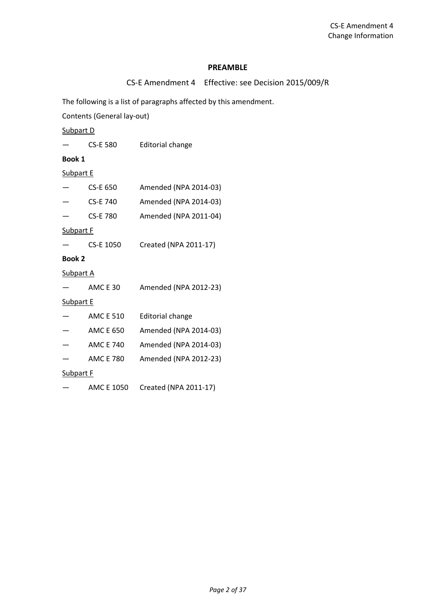#### **PREAMBLE**

CS-E Amendment 4 Effective: see Decision 2015/009/R

The following is a list of paragraphs affected by this amendment.

Contents (General lay-out)

Subpart D

|                  | CS-E 580         | Editorial change        |
|------------------|------------------|-------------------------|
| <b>Book 1</b>    |                  |                         |
| <b>Subpart E</b> |                  |                         |
|                  | <b>CS-E 650</b>  | Amended (NPA 2014-03)   |
|                  | <b>CS-E 740</b>  | Amended (NPA 2014-03)   |
|                  | <b>CS-E 780</b>  | Amended (NPA 2011-04)   |
| <b>Subpart F</b> |                  |                         |
|                  | CS-E 1050        | Created (NPA 2011-17)   |
| <b>Book 2</b>    |                  |                         |
| <b>Subpart A</b> |                  |                         |
|                  | <b>AMC E 30</b>  | Amended (NPA 2012-23)   |
| <b>Subpart E</b> |                  |                         |
|                  | <b>AMC E 510</b> | <b>Editorial change</b> |
|                  | <b>AMC E 650</b> | Amended (NPA 2014-03)   |
|                  | <b>AMC E 740</b> | Amended (NPA 2014-03)   |
|                  | <b>AMC E 780</b> | Amended (NPA 2012-23)   |
| <b>Subpart F</b> |                  |                         |
|                  | AMC E 1050       | Created (NPA 2011-17)   |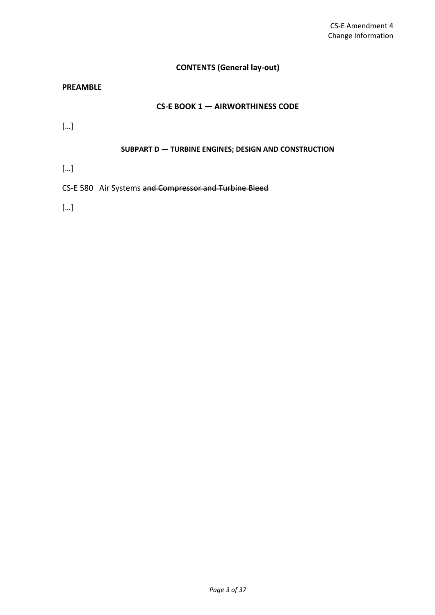# **CONTENTS (General lay-out)**

# **PREAMBLE**

### **CS-E BOOK 1 — AIRWORTHINESS CODE**

[…]

### **SUBPART D — TURBINE ENGINES; DESIGN AND CONSTRUCTION**

[…]

CS-E 580 Air Systems and Compressor and Turbine Bleed

[…]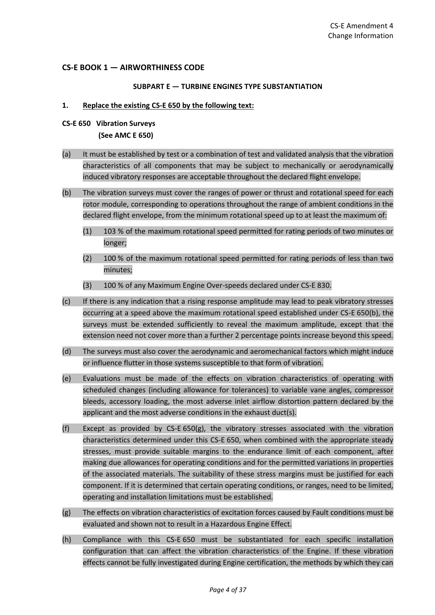## **CS-E BOOK 1 — AIRWORTHINESS CODE**

#### **SUBPART E — TURBINE ENGINES TYPE SUBSTANTIATION**

#### **1. Replace the existing CS-E 650 by the following text:**

**CS-E 650 Vibration Surveys**

**(See AMC E 650)**

- (a) It must be established by test or a combination of test and validated analysis that the vibration characteristics of all components that may be subject to mechanically or aerodynamically induced vibratory responses are acceptable throughout the declared flight envelope.
- (b) The vibration surveys must cover the ranges of power or thrust and rotational speed for each rotor module, corresponding to operations throughout the range of ambient conditions in the declared flight envelope, from the minimum rotational speed up to at least the maximum of:
	- (1) 103 % of the maximum rotational speed permitted for rating periods of two minutes or longer;
	- (2) 100 % of the maximum rotational speed permitted for rating periods of less than two minutes;
	- (3) 100 % of any Maximum Engine Over-speeds declared under CS-E 830.
- (c) If there is any indication that a rising response amplitude may lead to peak vibratory stresses occurring at a speed above the maximum rotational speed established under CS-E 650(b), the surveys must be extended sufficiently to reveal the maximum amplitude, except that the extension need not cover more than a further 2 percentage points increase beyond this speed.
- (d) The surveys must also cover the aerodynamic and aeromechanical factors which might induce or influence flutter in those systems susceptible to that form of vibration.
- (e) Evaluations must be made of the effects on vibration characteristics of operating with scheduled changes (including allowance for tolerances) to variable vane angles, compressor bleeds, accessory loading, the most adverse inlet airflow distortion pattern declared by the applicant and the most adverse conditions in the exhaust duct(s).
- (f) Except as provided by CS-E 650(g), the vibratory stresses associated with the vibration characteristics determined under this CS-E 650, when combined with the appropriate steady stresses, must provide suitable margins to the endurance limit of each component, after making due allowances for operating conditions and for the permitted variations in properties of the associated materials. The suitability of these stress margins must be justified for each component. If it is determined that certain operating conditions, or ranges, need to be limited, operating and installation limitations must be established.
- (g) The effects on vibration characteristics of excitation forces caused by Fault conditions must be evaluated and shown not to result in a Hazardous Engine Effect.
- (h) Compliance with this CS-E 650 must be substantiated for each specific installation configuration that can affect the vibration characteristics of the Engine. If these vibration effects cannot be fully investigated during Engine certification, the methods by which they can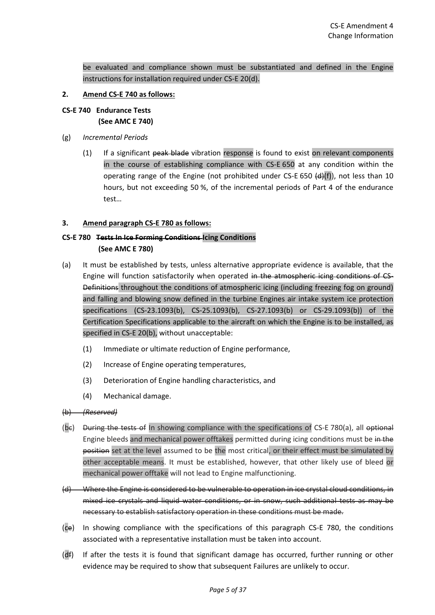be evaluated and compliance shown must be substantiated and defined in the Engine instructions for installation required under CS-E 20(d).

### **2. Amend CS-E 740 as follows:**

- **CS-E 740 Endurance Tests (See AMC E 740)**
- (g) *Incremental Periods*
	- (1) If a significant peak blade vibration response is found to exist on relevant components in the course of establishing compliance with CS-E 650 at any condition within the operating range of the Engine (not prohibited under CS-E 650  $(d)(f)$ ), not less than 10 hours, but not exceeding 50 %, of the incremental periods of Part 4 of the endurance test…

### **3. Amend paragraph CS-E 780 as follows:**

# **CS-E 780 Tests In Ice Forming Conditions Icing Conditions (See AMC E 780)**

- (a) It must be established by tests, unless alternative appropriate evidence is available, that the Engine will function satisfactorily when operated in the atmospheric icing conditions of CS-Definitions throughout the conditions of atmospheric icing (including freezing fog on ground) and falling and blowing snow defined in the turbine Engines air intake system ice protection specifications (CS-23.1093(b), CS-25.1093(b), CS-27.1093(b) or CS-29.1093(b)) of the Certification Specifications applicable to the aircraft on which the Engine is to be installed, as specified in CS-E 20(b), without unacceptable:
	- (1) Immediate or ultimate reduction of Engine performance,
	- (2) Increase of Engine operating temperatures,
	- (3) Deterioration of Engine handling characteristics, and
	- (4) Mechanical damage.

# (b) *(Reserved)*

- (be) During the tests of In showing compliance with the specifications of CS-E 780(a), all optional Engine bleeds and mechanical power offtakes permitted during icing conditions must be in the position set at the level assumed to be the most critical, or their effect must be simulated by other acceptable means. It must be established, however, that other likely use of bleed or mechanical power offtake will not lead to Engine malfunctioning.
- (d) Where the Engine is considered to be vulnerable to operation in ice crystal cloud conditions, in mixed ice crystals and liquid water conditions, or in snow, such additional tests as may be necessary to establish satisfactory operation in these conditions must be made.
- (ce) In showing compliance with the specifications of this paragraph CS-E 780, the conditions associated with a representative installation must be taken into account.
- (df) If after the tests it is found that significant damage has occurred, further running or other evidence may be required to show that subsequent Failures are unlikely to occur.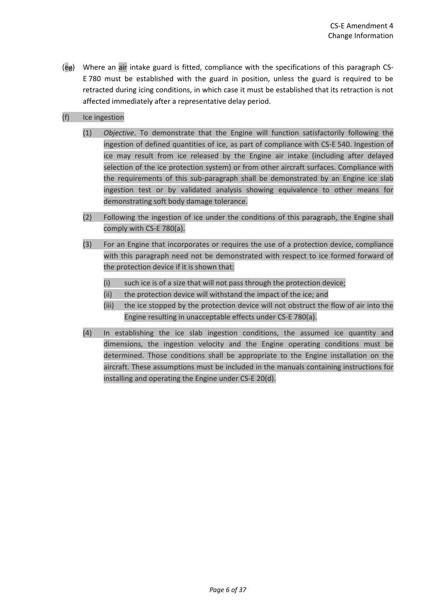- (eg) Where an air intake guard is fitted, compliance with the specifications of this paragraph CS-E 780 must be established with the guard in position, unless the guard is required to be retracted during icing conditions, in which case it must be established that its retraction is not affected immediately after a representative delay period.
- (f) Ice ingestion
	- (1) *Objective*. To demonstrate that the Engine will function satisfactorily following the ingestion of defined quantities of ice, as part of compliance with CS-E 540. Ingestion of ice may result from ice released by the Engine air intake (including after delayed selection of the ice protection system) or from other aircraft surfaces. Compliance with the requirements of this sub-paragraph shall be demonstrated by an Engine ice slab ingestion test or by validated analysis showing equivalence to other means for demonstrating soft body damage tolerance.
	- (2) Following the ingestion of ice under the conditions of this paragraph, the Engine shall comply with CS-E 780(a).
	- (3) For an Engine that incorporates or requires the use of a protection device, compliance with this paragraph need not be demonstrated with respect to ice formed forward of the protection device if it is shown that:
		- (i) such ice is of a size that will not pass through the protection device;
		- (ii) the protection device will withstand the impact of the ice; and
		- (iii) the ice stopped by the protection device will not obstruct the flow of air into the Engine resulting in unacceptable effects under CS-E 780(a).
	- (4) In establishing the ice slab ingestion conditions, the assumed ice quantity and dimensions, the ingestion velocity and the Engine operating conditions must be determined. Those conditions shall be appropriate to the Engine installation on the aircraft. These assumptions must be included in the manuals containing instructions for installing and operating the Engine under CS-E 20(d).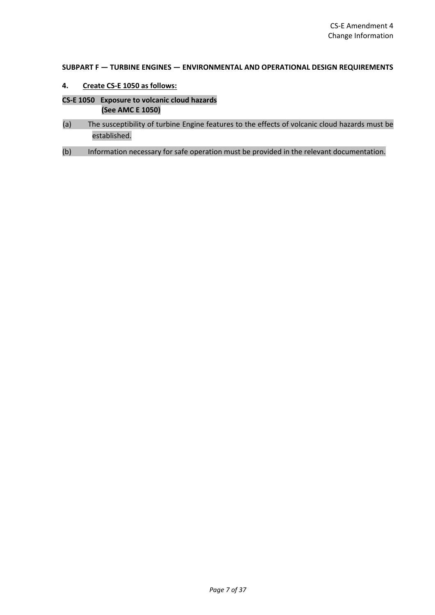#### **SUBPART F — TURBINE ENGINES — ENVIRONMENTAL AND OPERATIONAL DESIGN REQUIREMENTS**

- **4. Create CS-E 1050 as follows:**
- **CS-E 1050 Exposure to volcanic cloud hazards (See AMC E 1050)**
- (a) The susceptibility of turbine Engine features to the effects of volcanic cloud hazards must be established.
- (b) Information necessary for safe operation must be provided in the relevant documentation.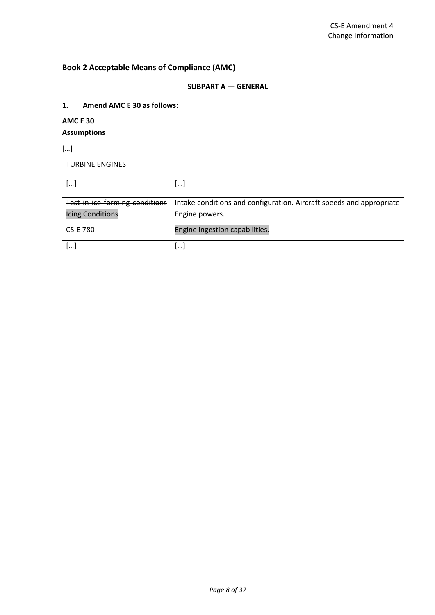# **Book 2 Acceptable Means of Compliance (AMC)**

### **SUBPART A — GENERAL**

### **1. Amend AMC E 30 as follows:**

# **AMC E 30**

# **Assumptions**

[…]

| <b>TURBINE ENGINES</b>         |                                                                      |
|--------------------------------|----------------------------------------------------------------------|
| []                             | $\lfloor  \rfloor$                                                   |
| Test in ice forming conditions | Intake conditions and configuration. Aircraft speeds and appropriate |
| <b>Icing Conditions</b>        | Engine powers.                                                       |
| <b>CS-E 780</b>                | Engine ingestion capabilities.                                       |
| []                             | l…]                                                                  |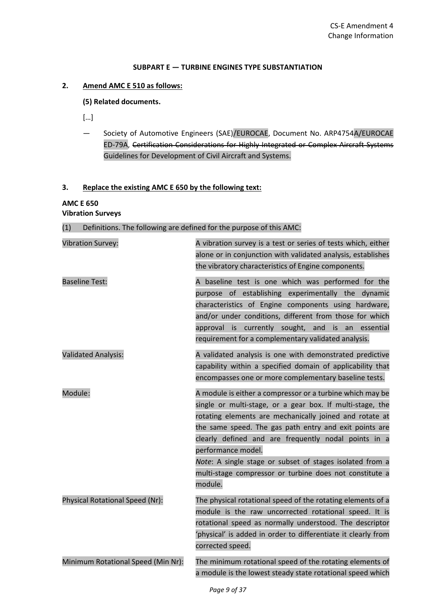#### **SUBPART E — TURBINE ENGINES TYPE SUBSTANTIATION**

# **2. Amend AMC E 510 as follows:**

#### **(5) Related documents.**

- […]
- Society of Automotive Engineers (SAE)/EUROCAE, Document No. ARP4754A/EUROCAE ED-79A, Certification Considerations for Highly Integrated or Complex Aircraft Systems Guidelines for Development of Civil Aircraft and Systems.

#### **3. Replace the existing AMC E 650 by the following text:**

#### **AMC E 650 Vibration Surveys**

# (1) Definitions. The following are defined for the purpose of this AMC:

| <b>Vibration Survey:</b>           | A vibration survey is a test or series of tests which, either<br>alone or in conjunction with validated analysis, establishes<br>the vibratory characteristics of Engine components.                                                                                                                                                                                                                                                                        |
|------------------------------------|-------------------------------------------------------------------------------------------------------------------------------------------------------------------------------------------------------------------------------------------------------------------------------------------------------------------------------------------------------------------------------------------------------------------------------------------------------------|
| <b>Baseline Test:</b>              | A baseline test is one which was performed for the<br>purpose of establishing experimentally the<br>dynamic<br>characteristics of Engine components using hardware,<br>and/or under conditions, different from those for which<br>approval is currently sought, and is an essential<br>requirement for a complementary validated analysis.                                                                                                                  |
| <b>Validated Analysis:</b>         | A validated analysis is one with demonstrated predictive<br>capability within a specified domain of applicability that<br>encompasses one or more complementary baseline tests.                                                                                                                                                                                                                                                                             |
| Module:                            | A module is either a compressor or a turbine which may be<br>single or multi-stage, or a gear box. If multi-stage, the<br>rotating elements are mechanically joined and rotate at<br>the same speed. The gas path entry and exit points are<br>clearly defined and are frequently nodal points in a<br>performance model.<br>Note: A single stage or subset of stages isolated from a<br>multi-stage compressor or turbine does not constitute a<br>module. |
| Physical Rotational Speed (Nr):    | The physical rotational speed of the rotating elements of a<br>module is the raw uncorrected rotational speed. It is<br>rotational speed as normally understood. The descriptor<br>'physical' is added in order to differentiate it clearly from<br>corrected speed.                                                                                                                                                                                        |
| Minimum Rotational Speed (Min Nr): | The minimum rotational speed of the rotating elements of<br>a module is the lowest steady state rotational speed which                                                                                                                                                                                                                                                                                                                                      |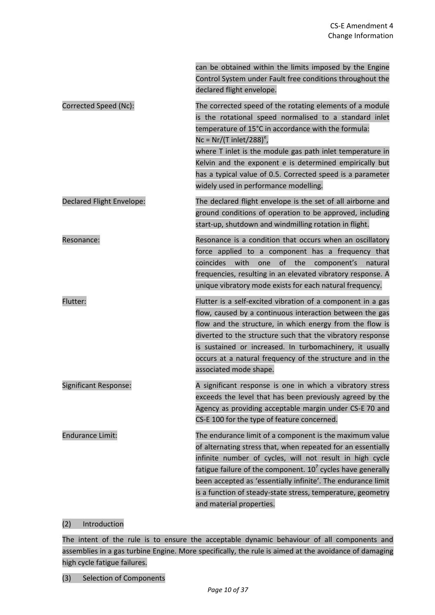|                           | can be obtained within the limits imposed by the Engine<br>Control System under Fault free conditions throughout the<br>declared flight envelope.                                                                                                                                                                                                                                                                                                  |
|---------------------------|----------------------------------------------------------------------------------------------------------------------------------------------------------------------------------------------------------------------------------------------------------------------------------------------------------------------------------------------------------------------------------------------------------------------------------------------------|
| Corrected Speed (Nc):     | The corrected speed of the rotating elements of a module<br>is the rotational speed normalised to a standard inlet<br>temperature of 15°C in accordance with the formula:<br>$Nc = N r / (T \text{ inlet}/288)^e$ ,<br>where T inlet is the module gas path inlet temperature in<br>Kelvin and the exponent e is determined empirically but<br>has a typical value of 0.5. Corrected speed is a parameter<br>widely used in performance modelling. |
| Declared Flight Envelope: | The declared flight envelope is the set of all airborne and<br>ground conditions of operation to be approved, including<br>start-up, shutdown and windmilling rotation in flight.                                                                                                                                                                                                                                                                  |
| Resonance:                | Resonance is a condition that occurs when an oscillatory<br>force applied to a component has a frequency that<br>coincides<br>with<br>of<br>the<br>component's<br>one<br>natural<br>frequencies, resulting in an elevated vibratory response. A<br>unique vibratory mode exists for each natural frequency.                                                                                                                                        |
| Flutter:                  | Flutter is a self-excited vibration of a component in a gas<br>flow, caused by a continuous interaction between the gas<br>flow and the structure, in which energy from the flow is<br>diverted to the structure such that the vibratory response<br>is sustained or increased. In turbomachinery, it usually<br>occurs at a natural frequency of the structure and in the<br>associated mode shape.                                               |
| Significant Response:     | A significant response is one in which a vibratory stress<br>exceeds the level that has been previously agreed by the<br>Agency as providing acceptable margin under CS-E 70 and<br>CS-E 100 for the type of feature concerned.                                                                                                                                                                                                                    |
| <b>Endurance Limit:</b>   | The endurance limit of a component is the maximum value<br>of alternating stress that, when repeated for an essentially<br>infinite number of cycles, will not result in high cycle<br>fatigue failure of the component. $107$ cycles have generally<br>been accepted as 'essentially infinite'. The endurance limit<br>is a function of steady-state stress, temperature, geometry<br>and material properties.                                    |

# (2) Introduction

The intent of the rule is to ensure the acceptable dynamic behaviour of all components and assemblies in a gas turbine Engine. More specifically, the rule is aimed at the avoidance of damaging high cycle fatigue failures.

(3) Selection of Components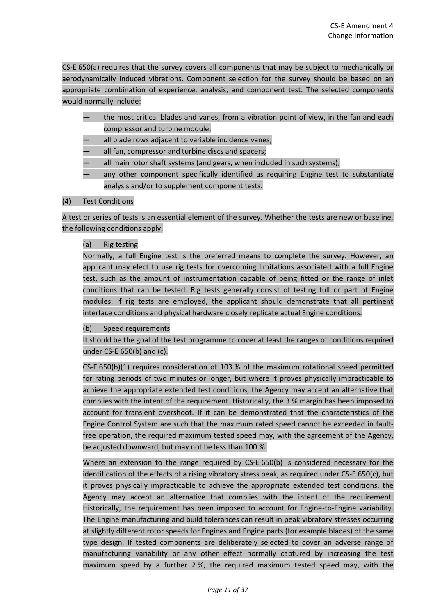CS-E 650(a) requires that the survey covers all components that may be subject to mechanically or aerodynamically induced vibrations. Component selection for the survey should be based on an appropriate combination of experience, analysis, and component test. The selected components would normally include:

- the most critical blades and vanes, from a vibration point of view, in the fan and each compressor and turbine module;
- all blade rows adjacent to variable incidence vanes;
- all fan, compressor and turbine discs and spacers;
- all main rotor shaft systems (and gears, when included in such systems);
- any other component specifically identified as requiring Engine test to substantiate analysis and/or to supplement component tests.

### (4) Test Conditions

A test or series of tests is an essential element of the survey. Whether the tests are new or baseline, the following conditions apply:

### (a) Rig testing

Normally, a full Engine test is the preferred means to complete the survey. However, an applicant may elect to use rig tests for overcoming limitations associated with a full Engine test, such as the amount of instrumentation capable of being fitted or the range of inlet conditions that can be tested. Rig tests generally consist of testing full or part of Engine modules. If rig tests are employed, the applicant should demonstrate that all pertinent interface conditions and physical hardware closely replicate actual Engine conditions.

#### (b) Speed requirements

It should be the goal of the test programme to cover at least the ranges of conditions required under CS-E 650(b) and (c).

CS-E 650(b)(1) requires consideration of 103 % of the maximum rotational speed permitted for rating periods of two minutes or longer, but where it proves physically impracticable to achieve the appropriate extended test conditions, the Agency may accept an alternative that complies with the intent of the requirement. Historically, the 3 % margin has been imposed to account for transient overshoot. If it can be demonstrated that the characteristics of the Engine Control System are such that the maximum rated speed cannot be exceeded in faultfree operation, the required maximum tested speed may, with the agreement of the Agency, be adjusted downward, but may not be less than 100 %.

Where an extension to the range required by CS-E 650(b) is considered necessary for the identification of the effects of a rising vibratory stress peak, as required under CS-E 650(c), but it proves physically impracticable to achieve the appropriate extended test conditions, the Agency may accept an alternative that complies with the intent of the requirement. Historically, the requirement has been imposed to account for Engine-to-Engine variability. The Engine manufacturing and build tolerances can result in peak vibratory stresses occurring at slightly different rotor speeds for Engines and Engine parts (for example blades) of the same type design. If tested components are deliberately selected to cover an adverse range of manufacturing variability or any other effect normally captured by increasing the test maximum speed by a further 2 %, the required maximum tested speed may, with the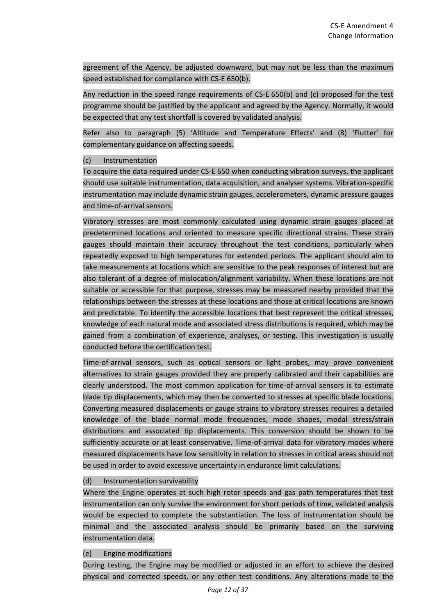agreement of the Agency, be adjusted downward, but may not be less than the maximum speed established for compliance with CS-E 650(b).

Any reduction in the speed range requirements of CS-E 650(b) and (c) proposed for the test programme should be justified by the applicant and agreed by the Agency. Normally, it would be expected that any test shortfall is covered by validated analysis.

Refer also to paragraph (5) 'Altitude and Temperature Effects' and (8) 'Flutter' for complementary guidance on affecting speeds.

#### (c) Instrumentation

To acquire the data required under CS-E 650 when conducting vibration surveys, the applicant should use suitable instrumentation, data acquisition, and analyser systems. Vibration-specific instrumentation may include dynamic strain gauges, accelerometers, dynamic pressure gauges and time-of-arrival sensors.

Vibratory stresses are most commonly calculated using dynamic strain gauges placed at predetermined locations and oriented to measure specific directional strains. These strain gauges should maintain their accuracy throughout the test conditions, particularly when repeatedly exposed to high temperatures for extended periods. The applicant should aim to take measurements at locations which are sensitive to the peak responses of interest but are also tolerant of a degree of mislocation/alignment variability. When these locations are not suitable or accessible for that purpose, stresses may be measured nearby provided that the relationships between the stresses at these locations and those at critical locations are known and predictable. To identify the accessible locations that best represent the critical stresses, knowledge of each natural mode and associated stress distributions is required, which may be gained from a combination of experience, analyses, or testing. This investigation is usually conducted before the certification test.

Time-of-arrival sensors, such as optical sensors or light probes, may prove convenient alternatives to strain gauges provided they are properly calibrated and their capabilities are clearly understood. The most common application for time-of-arrival sensors is to estimate blade tip displacements, which may then be converted to stresses at specific blade locations. Converting measured displacements or gauge strains to vibratory stresses requires a detailed knowledge of the blade normal mode frequencies, mode shapes, modal stress/strain distributions and associated tip displacements. This conversion should be shown to be sufficiently accurate or at least conservative. Time-of-arrival data for vibratory modes where measured displacements have low sensitivity in relation to stresses in critical areas should not be used in order to avoid excessive uncertainty in endurance limit calculations.

# (d) Instrumentation survivability

Where the Engine operates at such high rotor speeds and gas path temperatures that test instrumentation can only survive the environment for short periods of time, validated analysis would be expected to complete the substantiation. The loss of instrumentation should be minimal and the associated analysis should be primarily based on the surviving instrumentation data.

#### (e) Engine modifications

During testing, the Engine may be modified or adjusted in an effort to achieve the desired physical and corrected speeds, or any other test conditions. Any alterations made to the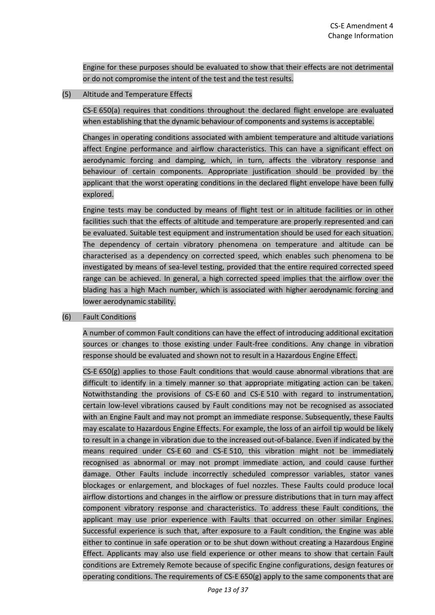Engine for these purposes should be evaluated to show that their effects are not detrimental or do not compromise the intent of the test and the test results.

### (5) Altitude and Temperature Effects

CS-E 650(a) requires that conditions throughout the declared flight envelope are evaluated when establishing that the dynamic behaviour of components and systems is acceptable.

Changes in operating conditions associated with ambient temperature and altitude variations affect Engine performance and airflow characteristics. This can have a significant effect on aerodynamic forcing and damping, which, in turn, affects the vibratory response and behaviour of certain components. Appropriate justification should be provided by the applicant that the worst operating conditions in the declared flight envelope have been fully explored.

Engine tests may be conducted by means of flight test or in altitude facilities or in other facilities such that the effects of altitude and temperature are properly represented and can be evaluated. Suitable test equipment and instrumentation should be used for each situation. The dependency of certain vibratory phenomena on temperature and altitude can be characterised as a dependency on corrected speed, which enables such phenomena to be investigated by means of sea-level testing, provided that the entire required corrected speed range can be achieved. In general, a high corrected speed implies that the airflow over the blading has a high Mach number, which is associated with higher aerodynamic forcing and lower aerodynamic stability.

#### (6) Fault Conditions

A number of common Fault conditions can have the effect of introducing additional excitation sources or changes to those existing under Fault-free conditions. Any change in vibration response should be evaluated and shown not to result in a Hazardous Engine Effect.

CS-E 650(g) applies to those Fault conditions that would cause abnormal vibrations that are difficult to identify in a timely manner so that appropriate mitigating action can be taken. Notwithstanding the provisions of CS-E 60 and CS-E 510 with regard to instrumentation, certain low-level vibrations caused by Fault conditions may not be recognised as associated with an Engine Fault and may not prompt an immediate response. Subsequently, these Faults may escalate to Hazardous Engine Effects. For example, the loss of an airfoil tip would be likely to result in a change in vibration due to the increased out-of-balance. Even if indicated by the means required under CS-E 60 and CS-E 510, this vibration might not be immediately recognised as abnormal or may not prompt immediate action, and could cause further damage. Other Faults include incorrectly scheduled compressor variables, stator vanes blockages or enlargement, and blockages of fuel nozzles. These Faults could produce local airflow distortions and changes in the airflow or pressure distributions that in turn may affect component vibratory response and characteristics. To address these Fault conditions, the applicant may use prior experience with Faults that occurred on other similar Engines. Successful experience is such that, after exposure to a Fault condition, the Engine was able either to continue in safe operation or to be shut down without creating a Hazardous Engine Effect. Applicants may also use field experience or other means to show that certain Fault conditions are Extremely Remote because of specific Engine configurations, design features or operating conditions. The requirements of CS-E 650(g) apply to the same components that are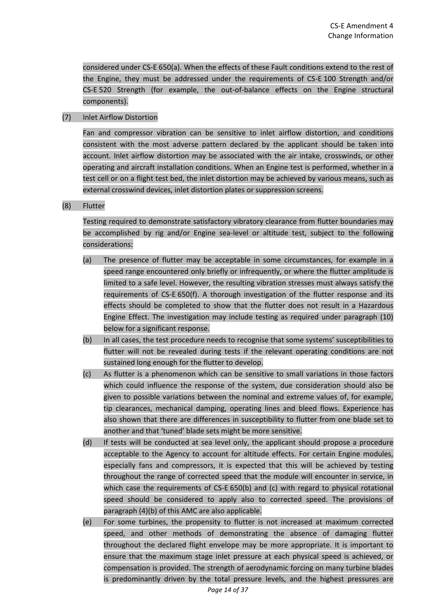considered under CS-E 650(a). When the effects of these Fault conditions extend to the rest of the Engine, they must be addressed under the requirements of CS-E 100 Strength and/or CS-E 520 Strength (for example, the out-of-balance effects on the Engine structural components).

### (7) Inlet Airflow Distortion

Fan and compressor vibration can be sensitive to inlet airflow distortion, and conditions consistent with the most adverse pattern declared by the applicant should be taken into account. Inlet airflow distortion may be associated with the air intake, crosswinds, or other operating and aircraft installation conditions. When an Engine test is performed, whether in a test cell or on a flight test bed, the inlet distortion may be achieved by various means, such as external crosswind devices, inlet distortion plates or suppression screens.

### (8) Flutter

Testing required to demonstrate satisfactory vibratory clearance from flutter boundaries may be accomplished by rig and/or Engine sea-level or altitude test, subject to the following considerations:

- (a) The presence of flutter may be acceptable in some circumstances, for example in a speed range encountered only briefly or infrequently, or where the flutter amplitude is limited to a safe level. However, the resulting vibration stresses must always satisfy the requirements of CS-E 650(f). A thorough investigation of the flutter response and its effects should be completed to show that the flutter does not result in a Hazardous Engine Effect. The investigation may include testing as required under paragraph (10) below for a significant response.
- (b) In all cases, the test procedure needs to recognise that some systems' susceptibilities to flutter will not be revealed during tests if the relevant operating conditions are not sustained long enough for the flutter to develop.
- (c) As flutter is a phenomenon which can be sensitive to small variations in those factors which could influence the response of the system, due consideration should also be given to possible variations between the nominal and extreme values of, for example, tip clearances, mechanical damping, operating lines and bleed flows. Experience has also shown that there are differences in susceptibility to flutter from one blade set to another and that 'tuned' blade sets might be more sensitive.
- (d) If tests will be conducted at sea level only, the applicant should propose a procedure acceptable to the Agency to account for altitude effects. For certain Engine modules, especially fans and compressors, it is expected that this will be achieved by testing throughout the range of corrected speed that the module will encounter in service, in which case the requirements of CS-E 650(b) and (c) with regard to physical rotational speed should be considered to apply also to corrected speed. The provisions of paragraph (4)(b) of this AMC are also applicable.
- (e) For some turbines, the propensity to flutter is not increased at maximum corrected speed, and other methods of demonstrating the absence of damaging flutter throughout the declared flight envelope may be more appropriate. It is important to ensure that the maximum stage inlet pressure at each physical speed is achieved, or compensation is provided. The strength of aerodynamic forcing on many turbine blades is predominantly driven by the total pressure levels, and the highest pressures are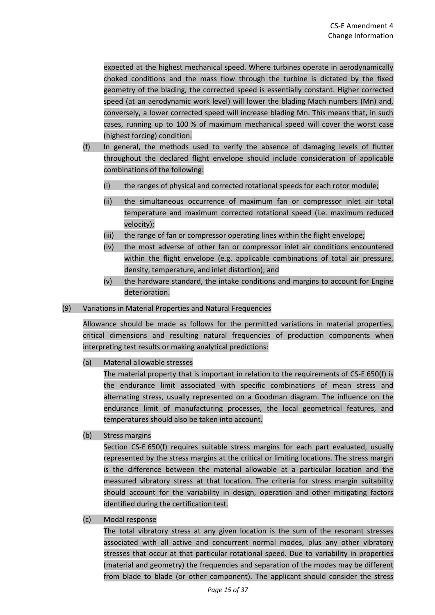expected at the highest mechanical speed. Where turbines operate in aerodynamically choked conditions and the mass flow through the turbine is dictated by the fixed geometry of the blading, the corrected speed is essentially constant. Higher corrected speed (at an aerodynamic work level) will lower the blading Mach numbers (Mn) and, conversely, a lower corrected speed will increase blading Mn. This means that, in such cases, running up to 100 % of maximum mechanical speed will cover the worst case (highest forcing) condition.

- (f) In general, the methods used to verify the absence of damaging levels of flutter throughout the declared flight envelope should include consideration of applicable combinations of the following:
	- (i) the ranges of physical and corrected rotational speeds for each rotor module;
	- (ii) the simultaneous occurrence of maximum fan or compressor inlet air total temperature and maximum corrected rotational speed (i.e. maximum reduced velocity);
	- (iii) the range of fan or compressor operating lines within the flight envelope;
	- (iv) the most adverse of other fan or compressor inlet air conditions encountered within the flight envelope (e.g. applicable combinations of total air pressure, density, temperature, and inlet distortion); and
	- (v) the hardware standard, the intake conditions and margins to account for Engine deterioration.
- (9) Variations in Material Properties and Natural Frequencies

Allowance should be made as follows for the permitted variations in material properties, critical dimensions and resulting natural frequencies of production components when interpreting test results or making analytical predictions:

(a) Material allowable stresses

The material property that is important in relation to the requirements of CS-E 650(f) is the endurance limit associated with specific combinations of mean stress and alternating stress, usually represented on a Goodman diagram. The influence on the endurance limit of manufacturing processes, the local geometrical features, and temperatures should also be taken into account.

(b) Stress margins

Section CS-E 650(f) requires suitable stress margins for each part evaluated, usually represented by the stress margins at the critical or limiting locations. The stress margin is the difference between the material allowable at a particular location and the measured vibratory stress at that location. The criteria for stress margin suitability should account for the variability in design, operation and other mitigating factors identified during the certification test.

(c) Modal response

The total vibratory stress at any given location is the sum of the resonant stresses associated with all active and concurrent normal modes, plus any other vibratory stresses that occur at that particular rotational speed. Due to variability in properties (material and geometry) the frequencies and separation of the modes may be different from blade to blade (or other component). The applicant should consider the stress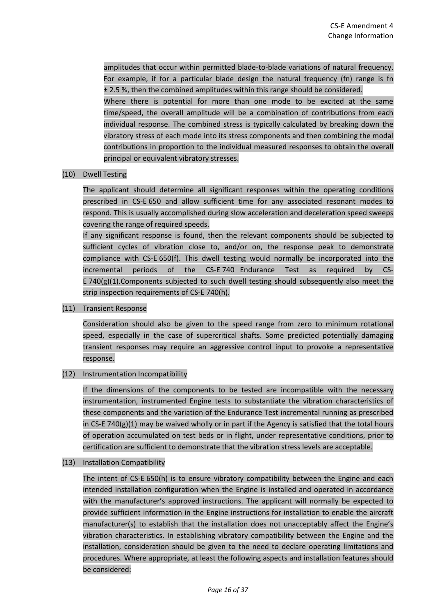amplitudes that occur within permitted blade-to-blade variations of natural frequency. For example, if for a particular blade design the natural frequency (fn) range is fn ± 2.5 %, then the combined amplitudes within this range should be considered.

Where there is potential for more than one mode to be excited at the same time/speed, the overall amplitude will be a combination of contributions from each individual response. The combined stress is typically calculated by breaking down the vibratory stress of each mode into its stress components and then combining the modal contributions in proportion to the individual measured responses to obtain the overall principal or equivalent vibratory stresses.

(10) Dwell Testing

The applicant should determine all significant responses within the operating conditions prescribed in CS-E 650 and allow sufficient time for any associated resonant modes to respond. This is usually accomplished during slow acceleration and deceleration speed sweeps covering the range of required speeds.

If any significant response is found, then the relevant components should be subjected to sufficient cycles of vibration close to, and/or on, the response peak to demonstrate compliance with CS-E 650(f). This dwell testing would normally be incorporated into the incremental periods of the CS-E 740 Endurance Test as required by CS-E 740 $(g)(1)$ . Components subjected to such dwell testing should subsequently also meet the strip inspection requirements of CS-E 740(h).

(11) Transient Response

Consideration should also be given to the speed range from zero to minimum rotational speed, especially in the case of supercritical shafts. Some predicted potentially damaging transient responses may require an aggressive control input to provoke a representative response.

# (12) Instrumentation Incompatibility

If the dimensions of the components to be tested are incompatible with the necessary instrumentation, instrumented Engine tests to substantiate the vibration characteristics of these components and the variation of the Endurance Test incremental running as prescribed in CS-E 740(g)(1) may be waived wholly or in part if the Agency is satisfied that the total hours of operation accumulated on test beds or in flight, under representative conditions, prior to certification are sufficient to demonstrate that the vibration stress levels are acceptable.

(13) Installation Compatibility

The intent of CS-E 650(h) is to ensure vibratory compatibility between the Engine and each intended installation configuration when the Engine is installed and operated in accordance with the manufacturer's approved instructions. The applicant will normally be expected to provide sufficient information in the Engine instructions for installation to enable the aircraft manufacturer(s) to establish that the installation does not unacceptably affect the Engine's vibration characteristics. In establishing vibratory compatibility between the Engine and the installation, consideration should be given to the need to declare operating limitations and procedures. Where appropriate, at least the following aspects and installation features should be considered: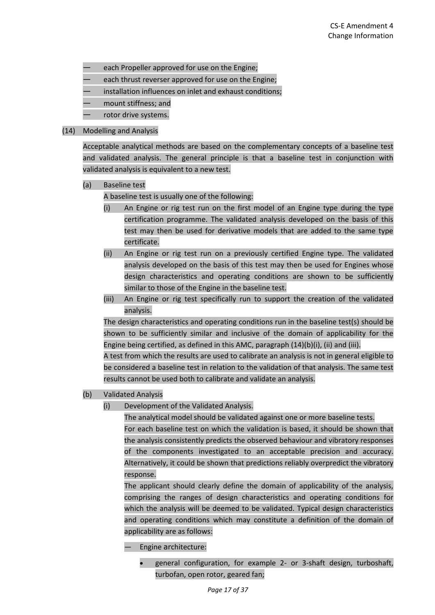- each Propeller approved for use on the Engine;
- each thrust reverser approved for use on the Engine;
- installation influences on inlet and exhaust conditions;
- mount stiffness; and
- rotor drive systems.

#### (14) Modelling and Analysis

Acceptable analytical methods are based on the complementary concepts of a baseline test and validated analysis. The general principle is that a baseline test in conjunction with validated analysis is equivalent to a new test.

(a) Baseline test

A baseline test is usually one of the following:

- (i) An Engine or rig test run on the first model of an Engine type during the type certification programme. The validated analysis developed on the basis of this test may then be used for derivative models that are added to the same type certificate.
- (ii) An Engine or rig test run on a previously certified Engine type. The validated analysis developed on the basis of this test may then be used for Engines whose design characteristics and operating conditions are shown to be sufficiently similar to those of the Engine in the baseline test.
- (iii) An Engine or rig test specifically run to support the creation of the validated analysis.

The design characteristics and operating conditions run in the baseline test(s) should be shown to be sufficiently similar and inclusive of the domain of applicability for the Engine being certified, as defined in this AMC, paragraph (14)(b)(i), (ii) and (iii).

A test from which the results are used to calibrate an analysis is not in general eligible to be considered a baseline test in relation to the validation of that analysis. The same test results cannot be used both to calibrate and validate an analysis.

- (b) Validated Analysis
	- (i) Development of the Validated Analysis.

The analytical model should be validated against one or more baseline tests. For each baseline test on which the validation is based, it should be shown that the analysis consistently predicts the observed behaviour and vibratory responses of the components investigated to an acceptable precision and accuracy. Alternatively, it could be shown that predictions reliably overpredict the vibratory response.

The applicant should clearly define the domain of applicability of the analysis, comprising the ranges of design characteristics and operating conditions for which the analysis will be deemed to be validated. Typical design characteristics and operating conditions which may constitute a definition of the domain of applicability are as follows:

- Engine architecture:
	- general configuration, for example 2- or 3-shaft design, turboshaft, turbofan, open rotor, geared fan;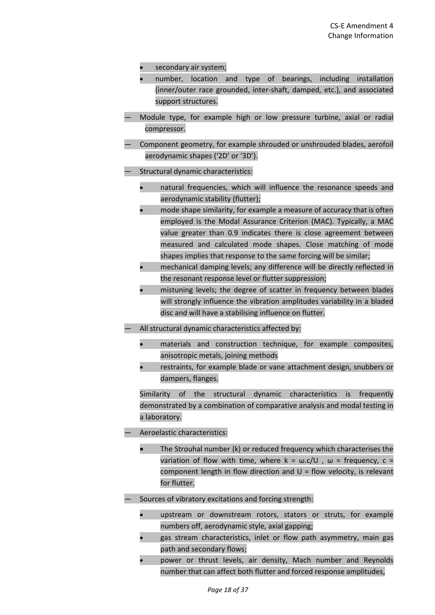- secondary air system;
- number, location and type of bearings, including installation (inner/outer race grounded, inter-shaft, damped, etc.), and associated support structures.
- Module type, for example high or low pressure turbine, axial or radial compressor.
- Component geometry, for example shrouded or unshrouded blades, aerofoil aerodynamic shapes ('2D' or '3D').
- Structural dynamic characteristics:
	- natural frequencies, which will influence the resonance speeds and aerodynamic stability (flutter);
	- mode shape similarity, for example a measure of accuracy that is often employed is the Modal Assurance Criterion (MAC). Typically, a MAC value greater than 0.9 indicates there is close agreement between measured and calculated mode shapes. Close matching of mode shapes implies that response to the same forcing will be similar;
	- mechanical damping levels; any difference will be directly reflected in the resonant response level or flutter suppression;
	- mistuning levels; the degree of scatter in frequency between blades will strongly influence the vibration amplitudes variability in a bladed disc and will have a stabilising influence on flutter.
- All structural dynamic characteristics affected by:
	- materials and construction technique, for example composites, anisotropic metals, joining methods
	- restraints, for example blade or vane attachment design, snubbers or dampers, flanges.

Similarity of the structural dynamic characteristics is frequently demonstrated by a combination of comparative analysis and modal testing in a laboratory.

- Aeroelastic characteristics:
	- The Strouhal number (k) or reduced frequency which characterises the variation of flow with time, where  $k = \omega c/U$ ,  $\omega =$  frequency,  $c =$ component length in flow direction and  $U =$  flow velocity, is relevant for flutter.
- Sources of vibratory excitations and forcing strength:
	- upstream or downstream rotors, stators or struts, for example numbers off, aerodynamic style, axial gapping;
	- gas stream characteristics, inlet or flow path asymmetry, main gas path and secondary flows;
	- power or thrust levels, air density, Mach number and Reynolds number that can affect both flutter and forced response amplitudes,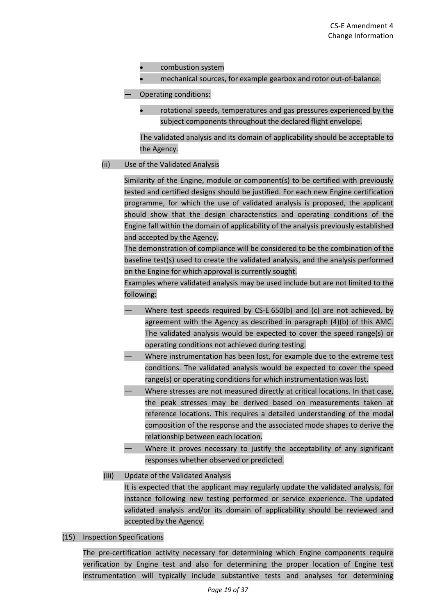- combustion system
- mechanical sources, for example gearbox and rotor out-of-balance.
- Operating conditions:
	- rotational speeds, temperatures and gas pressures experienced by the subject components throughout the declared flight envelope.

The validated analysis and its domain of applicability should be acceptable to the Agency.

# (ii) Use of the Validated Analysis

Similarity of the Engine, module or component(s) to be certified with previously tested and certified designs should be justified. For each new Engine certification programme, for which the use of validated analysis is proposed, the applicant should show that the design characteristics and operating conditions of the Engine fall within the domain of applicability of the analysis previously established and accepted by the Agency.

The demonstration of compliance will be considered to be the combination of the baseline test(s) used to create the validated analysis, and the analysis performed on the Engine for which approval is currently sought.

Examples where validated analysis may be used include but are not limited to the following:

- Where test speeds required by CS-E  $650(b)$  and (c) are not achieved, by agreement with the Agency as described in paragraph (4)(b) of this AMC. The validated analysis would be expected to cover the speed range(s) or operating conditions not achieved during testing.
- Where instrumentation has been lost, for example due to the extreme test conditions. The validated analysis would be expected to cover the speed range(s) or operating conditions for which instrumentation was lost.
- Where stresses are not measured directly at critical locations. In that case, the peak stresses may be derived based on measurements taken at reference locations. This requires a detailed understanding of the modal composition of the response and the associated mode shapes to derive the relationship between each location.
- Where it proves necessary to justify the acceptability of any significant responses whether observed or predicted.
- (iii) Update of the Validated Analysis

It is expected that the applicant may regularly update the validated analysis, for instance following new testing performed or service experience. The updated validated analysis and/or its domain of applicability should be reviewed and accepted by the Agency.

(15) Inspection Specifications

The pre-certification activity necessary for determining which Engine components require verification by Engine test and also for determining the proper location of Engine test instrumentation will typically include substantive tests and analyses for determining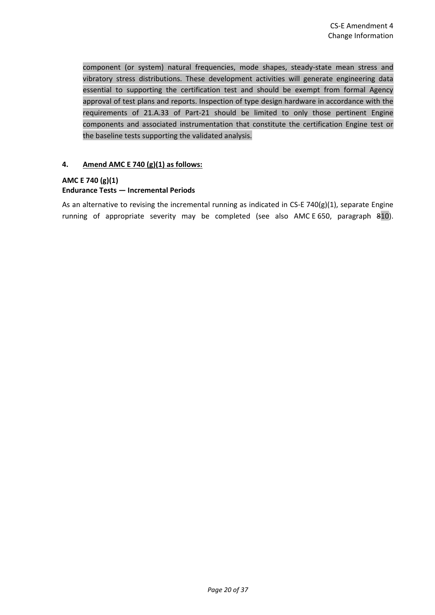component (or system) natural frequencies, mode shapes, steady-state mean stress and vibratory stress distributions. These development activities will generate engineering data essential to supporting the certification test and should be exempt from formal Agency approval of test plans and reports. Inspection of type design hardware in accordance with the requirements of 21.A.33 of Part-21 should be limited to only those pertinent Engine components and associated instrumentation that constitute the certification Engine test or the baseline tests supporting the validated analysis.

# **4. Amend AMC E 740 (g)(1) as follows:**

# **AMC E 740 (g)(1)**

# **Endurance Tests — Incremental Periods**

As an alternative to revising the incremental running as indicated in CS-E 740(g)(1), separate Engine running of appropriate severity may be completed (see also AMC E 650, paragraph 810).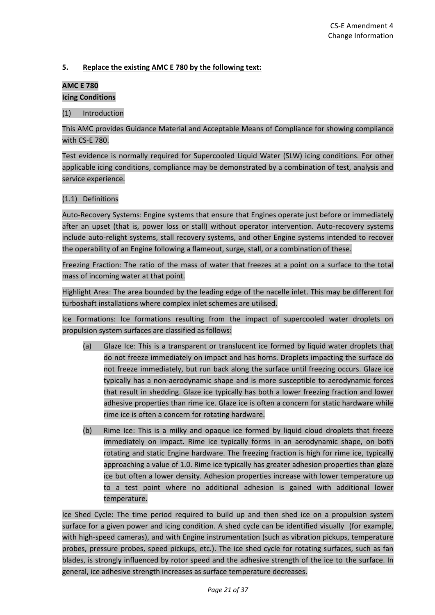## **5. Replace the existing AMC E 780 by the following text:**

# **AMC E 780 Icing Conditions**

(1) Introduction

This AMC provides Guidance Material and Acceptable Means of Compliance for showing compliance with CS-E 780.

Test evidence is normally required for Supercooled Liquid Water (SLW) icing conditions. For other applicable icing conditions, compliance may be demonstrated by a combination of test, analysis and service experience.

### (1.1) Definitions

Auto-Recovery Systems: Engine systems that ensure that Engines operate just before or immediately after an upset (that is, power loss or stall) without operator intervention. Auto-recovery systems include auto-relight systems, stall recovery systems, and other Engine systems intended to recover the operability of an Engine following a flameout, surge, stall, or a combination of these.

Freezing Fraction: The ratio of the mass of water that freezes at a point on a surface to the total mass of incoming water at that point.

Highlight Area: The area bounded by the leading edge of the nacelle inlet. This may be different for turboshaft installations where complex inlet schemes are utilised.

Ice Formations: Ice formations resulting from the impact of supercooled water droplets on propulsion system surfaces are classified as follows:

- (a) Glaze Ice: This is a transparent or translucent ice formed by liquid water droplets that do not freeze immediately on impact and has horns. Droplets impacting the surface do not freeze immediately, but run back along the surface until freezing occurs. Glaze ice typically has a non-aerodynamic shape and is more susceptible to aerodynamic forces that result in shedding. Glaze ice typically has both a lower freezing fraction and lower adhesive properties than rime ice. Glaze ice is often a concern for static hardware while rime ice is often a concern for rotating hardware.
- (b) Rime Ice: This is a milky and opaque ice formed by liquid cloud droplets that freeze immediately on impact. Rime ice typically forms in an aerodynamic shape, on both rotating and static Engine hardware. The freezing fraction is high for rime ice, typically approaching a value of 1.0. Rime ice typically has greater adhesion properties than glaze ice but often a lower density. Adhesion properties increase with lower temperature up to a test point where no additional adhesion is gained with additional lower temperature.

Ice Shed Cycle: The time period required to build up and then shed ice on a propulsion system surface for a given power and icing condition. A shed cycle can be identified visually (for example, with high-speed cameras), and with Engine instrumentation (such as vibration pickups, temperature probes, pressure probes, speed pickups, etc.). The ice shed cycle for rotating surfaces, such as fan blades, is strongly influenced by rotor speed and the adhesive strength of the ice to the surface. In general, ice adhesive strength increases as surface temperature decreases.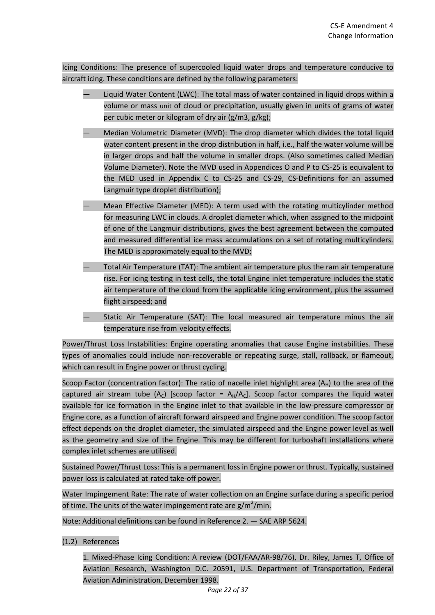Icing Conditions: The presence of supercooled liquid water drops and temperature conducive to aircraft icing. These conditions are defined by the following parameters:

- Liquid Water Content (LWC): The total mass of water contained in liquid drops within a volume or mass unit of cloud or precipitation, usually given in units of grams of water per cubic meter or kilogram of dry air (g/m3, g/kg);
- Median Volumetric Diameter (MVD): The drop diameter which divides the total liquid water content present in the drop distribution in half, i.e., half the water volume will be in larger drops and half the volume in smaller drops. (Also sometimes called Median Volume Diameter). Note the MVD used in Appendices O and P to CS-25 is equivalent to the MED used in Appendix C to CS-25 and CS-29, CS-Definitions for an assumed Langmuir type droplet distribution);
- Mean Effective Diameter (MED): A term used with the rotating multicylinder method for measuring LWC in clouds. A droplet diameter which, when assigned to the midpoint of one of the Langmuir distributions, gives the best agreement between the computed and measured differential ice mass accumulations on a set of rotating multicylinders. The MED is approximately equal to the MVD;
- Total Air Temperature (TAT): The ambient air temperature plus the ram air temperature rise. For icing testing in test cells, the total Engine inlet temperature includes the static air temperature of the cloud from the applicable icing environment, plus the assumed flight airspeed; and
- Static Air Temperature (SAT): The local measured air temperature minus the air temperature rise from velocity effects.

Power/Thrust Loss Instabilities: Engine operating anomalies that cause Engine instabilities. These types of anomalies could include non-recoverable or repeating surge, stall, rollback, or flameout, which can result in Engine power or thrust cycling.

Scoop Factor (concentration factor): The ratio of nacelle inlet highlight area  $(A_H)$  to the area of the captured air stream tube  $(A<sub>C</sub>)$  [scoop factor =  $A<sub>H</sub>/A<sub>C</sub>$ ]. Scoop factor compares the liquid water available for ice formation in the Engine inlet to that available in the low-pressure compressor or Engine core, as a function of aircraft forward airspeed and Engine power condition. The scoop factor effect depends on the droplet diameter, the simulated airspeed and the Engine power level as well as the geometry and size of the Engine. This may be different for turboshaft installations where complex inlet schemes are utilised.

Sustained Power/Thrust Loss: This is a permanent loss in Engine power or thrust. Typically, sustained power loss is calculated at rated take-off power.

Water Impingement Rate: The rate of water collection on an Engine surface during a specific period of time. The units of the water impingement rate are g/m<sup>2</sup>/min.

Note: Additional definitions can be found in Reference 2. — SAE ARP 5624.

(1.2) References

1. Mixed-Phase Icing Condition: A review (DOT/FAA/AR-98/76), Dr. Riley, James T, Office of Aviation Research, Washington D.C. 20591, U.S. Department of Transportation, Federal Aviation Administration, December 1998.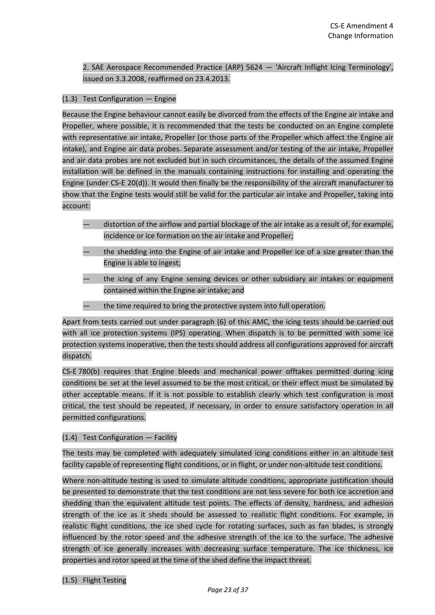2. SAE Aerospace Recommended Practice (ARP) 5624 — 'Aircraft Inflight Icing Terminology', issued on 3.3.2008, reaffirmed on 23.4.2013.

### (1.3) Test Configuration — Engine

Because the Engine behaviour cannot easily be divorced from the effects of the Engine air intake and Propeller, where possible, it is recommended that the tests be conducted on an Engine complete with representative air intake, Propeller (or those parts of the Propeller which affect the Engine air intake), and Engine air data probes. Separate assessment and/or testing of the air intake, Propeller and air data probes are not excluded but in such circumstances, the details of the assumed Engine installation will be defined in the manuals containing instructions for installing and operating the Engine (under CS-E 20(d)). It would then finally be the responsibility of the aircraft manufacturer to show that the Engine tests would still be valid for the particular air intake and Propeller, taking into account:

- distortion of the airflow and partial blockage of the air intake as a result of, for example, incidence or ice formation on the air intake and Propeller;
- the shedding into the Engine of air intake and Propeller ice of a size greater than the Engine is able to ingest;
- the icing of any Engine sensing devices or other subsidiary air intakes or equipment contained within the Engine air intake; and
- the time required to bring the protective system into full operation.

Apart from tests carried out under paragraph (6) of this AMC, the icing tests should be carried out with all ice protection systems (IPS) operating. When dispatch is to be permitted with some ice protection systems inoperative, then the tests should address all configurations approved for aircraft dispatch.

CS-E 780(b) requires that Engine bleeds and mechanical power offtakes permitted during icing conditions be set at the level assumed to be the most critical, or their effect must be simulated by other acceptable means. If it is not possible to establish clearly which test configuration is most critical, the test should be repeated, if necessary, in order to ensure satisfactory operation in all permitted configurations.

#### (1.4) Test Configuration — Facility

The tests may be completed with adequately simulated icing conditions either in an altitude test facility capable of representing flight conditions, or in flight, or under non-altitude test conditions.

Where non-altitude testing is used to simulate altitude conditions, appropriate justification should be presented to demonstrate that the test conditions are not less severe for both ice accretion and shedding than the equivalent altitude test points. The effects of density, hardness, and adhesion strength of the ice as it sheds should be assessed to realistic flight conditions. For example, in realistic flight conditions, the ice shed cycle for rotating surfaces, such as fan blades, is strongly influenced by the rotor speed and the adhesive strength of the ice to the surface. The adhesive strength of ice generally increases with decreasing surface temperature. The ice thickness, ice properties and rotor speed at the time of the shed define the impact threat.

#### (1.5) Flight Testing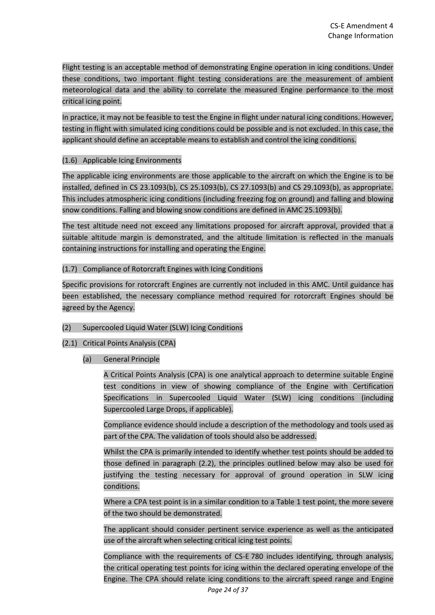Flight testing is an acceptable method of demonstrating Engine operation in icing conditions. Under these conditions, two important flight testing considerations are the measurement of ambient meteorological data and the ability to correlate the measured Engine performance to the most critical icing point.

In practice, it may not be feasible to test the Engine in flight under natural icing conditions. However, testing in flight with simulated icing conditions could be possible and is not excluded. In this case, the applicant should define an acceptable means to establish and control the icing conditions.

### (1.6) Applicable Icing Environments

The applicable icing environments are those applicable to the aircraft on which the Engine is to be installed, defined in CS 23.1093(b), CS 25.1093(b), CS 27.1093(b) and CS 29.1093(b), as appropriate. This includes atmospheric icing conditions (including freezing fog on ground) and falling and blowing snow conditions. Falling and blowing snow conditions are defined in AMC 25.1093(b).

The test altitude need not exceed any limitations proposed for aircraft approval, provided that a suitable altitude margin is demonstrated, and the altitude limitation is reflected in the manuals containing instructions for installing and operating the Engine.

# (1.7) Compliance of Rotorcraft Engines with Icing Conditions

Specific provisions for rotorcraft Engines are currently not included in this AMC. Until guidance has been established, the necessary compliance method required for rotorcraft Engines should be agreed by the Agency.

# (2) Supercooled Liquid Water (SLW) Icing Conditions

# (2.1) Critical Points Analysis (CPA)

# (a) General Principle

A Critical Points Analysis (CPA) is one analytical approach to determine suitable Engine test conditions in view of showing compliance of the Engine with Certification Specifications in Supercooled Liquid Water (SLW) icing conditions (including Supercooled Large Drops, if applicable).

Compliance evidence should include a description of the methodology and tools used as part of the CPA. The validation of tools should also be addressed.

Whilst the CPA is primarily intended to identify whether test points should be added to those defined in paragraph (2.2), the principles outlined below may also be used for justifying the testing necessary for approval of ground operation in SLW icing conditions.

Where a CPA test point is in a similar condition to a Table 1 test point, the more severe of the two should be demonstrated.

The applicant should consider pertinent service experience as well as the anticipated use of the aircraft when selecting critical icing test points.

Compliance with the requirements of CS-E 780 includes identifying, through analysis, the critical operating test points for icing within the declared operating envelope of the Engine. The CPA should relate icing conditions to the aircraft speed range and Engine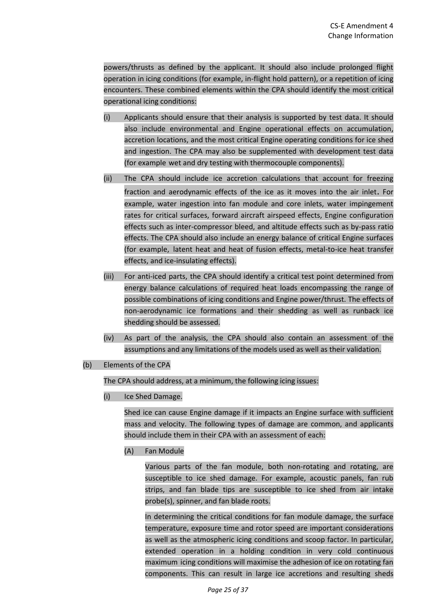powers/thrusts as defined by the applicant. It should also include prolonged flight operation in icing conditions (for example, in-flight hold pattern), or a repetition of icing encounters. These combined elements within the CPA should identify the most critical operational icing conditions:

- (i) Applicants should ensure that their analysis is supported by test data. It should also include environmental and Engine operational effects on accumulation, accretion locations, and the most critical Engine operating conditions for ice shed and ingestion. The CPA may also be supplemented with development test data (for example wet and dry testing with thermocouple components).
- (ii) The CPA should include ice accretion calculations that account for freezing fraction and aerodynamic effects of the ice as it moves into the air inlet. For example, water ingestion into fan module and core inlets, water impingement rates for critical surfaces, forward aircraft airspeed effects, Engine configuration effects such as inter-compressor bleed, and altitude effects such as by-pass ratio effects. The CPA should also include an energy balance of critical Engine surfaces (for example, latent heat and heat of fusion effects, metal-to-ice heat transfer effects, and ice-insulating effects).
- (iii) For anti-iced parts, the CPA should identify a critical test point determined from energy balance calculations of required heat loads encompassing the range of possible combinations of icing conditions and Engine power/thrust. The effects of non-aerodynamic ice formations and their shedding as well as runback ice shedding should be assessed.
- (iv) As part of the analysis, the CPA should also contain an assessment of the assumptions and any limitations of the models used as well as their validation.
- (b) Elements of the CPA

The CPA should address, at a minimum, the following icing issues:

(i) Ice Shed Damage.

Shed ice can cause Engine damage if it impacts an Engine surface with sufficient mass and velocity. The following types of damage are common, and applicants should include them in their CPA with an assessment of each:

(A) Fan Module

Various parts of the fan module, both non-rotating and rotating, are susceptible to ice shed damage. For example, acoustic panels, fan rub strips, and fan blade tips are susceptible to ice shed from air intake probe(s), spinner, and fan blade roots.

In determining the critical conditions for fan module damage, the surface temperature, exposure time and rotor speed are important considerations as well as the atmospheric icing conditions and scoop factor. In particular, extended operation in a holding condition in very cold continuous maximum icing conditions will maximise the adhesion of ice on rotating fan components. This can result in large ice accretions and resulting sheds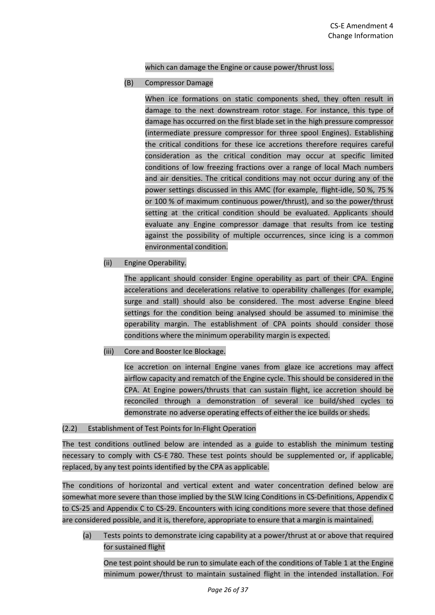which can damage the Engine or cause power/thrust loss.

(B) Compressor Damage

When ice formations on static components shed, they often result in damage to the next downstream rotor stage. For instance, this type of damage has occurred on the first blade set in the high pressure compressor (intermediate pressure compressor for three spool Engines). Establishing the critical conditions for these ice accretions therefore requires careful consideration as the critical condition may occur at specific limited conditions of low freezing fractions over a range of local Mach numbers and air densities. The critical conditions may not occur during any of the power settings discussed in this AMC (for example, flight-idle, 50 %, 75 % or 100 % of maximum continuous power/thrust), and so the power/thrust setting at the critical condition should be evaluated. Applicants should evaluate any Engine compressor damage that results from ice testing against the possibility of multiple occurrences, since icing is a common environmental condition.

(ii) Engine Operability.

The applicant should consider Engine operability as part of their CPA. Engine accelerations and decelerations relative to operability challenges (for example, surge and stall) should also be considered. The most adverse Engine bleed settings for the condition being analysed should be assumed to minimise the operability margin. The establishment of CPA points should consider those conditions where the minimum operability margin is expected.

(iii) Core and Booster Ice Blockage.

Ice accretion on internal Engine vanes from glaze ice accretions may affect airflow capacity and rematch of the Engine cycle. This should be considered in the CPA. At Engine powers/thrusts that can sustain flight, ice accretion should be reconciled through a demonstration of several ice build/shed cycles to demonstrate no adverse operating effects of either the ice builds or sheds.

#### (2.2) Establishment of Test Points for In-Flight Operation

The test conditions outlined below are intended as a guide to establish the minimum testing necessary to comply with CS-E 780. These test points should be supplemented or, if applicable, replaced, by any test points identified by the CPA as applicable.

The conditions of horizontal and vertical extent and water concentration defined below are somewhat more severe than those implied by the SLW Icing Conditions in CS-Definitions, Appendix C to CS-25 and Appendix C to CS-29. Encounters with icing conditions more severe that those defined are considered possible, and it is, therefore, appropriate to ensure that a margin is maintained.

(a) Tests points to demonstrate icing capability at a power/thrust at or above that required for sustained flight

One test point should be run to simulate each of the conditions of Table 1 at the Engine minimum power/thrust to maintain sustained flight in the intended installation. For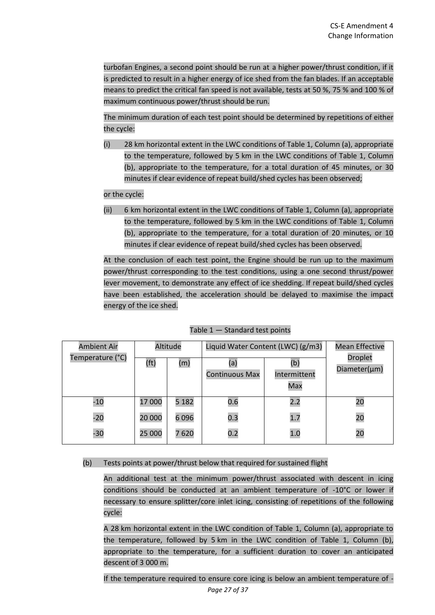turbofan Engines, a second point should be run at a higher power/thrust condition, if it is predicted to result in a higher energy of ice shed from the fan blades. If an acceptable means to predict the critical fan speed is not available, tests at 50 %, 75 % and 100 % of maximum continuous power/thrust should be run.

The minimum duration of each test point should be determined by repetitions of either the cycle:

(i) 28 km horizontal extent in the LWC conditions of Table 1, Column (a), appropriate to the temperature, followed by 5 km in the LWC conditions of Table 1, Column (b), appropriate to the temperature, for a total duration of 45 minutes, or 30 minutes if clear evidence of repeat build/shed cycles has been observed;

or the cycle:

(ii) 6 km horizontal extent in the LWC conditions of Table 1, Column (a), appropriate to the temperature, followed by 5 km in the LWC conditions of Table 1, Column (b), appropriate to the temperature, for a total duration of 20 minutes, or 10 minutes if clear evidence of repeat build/shed cycles has been observed.

At the conclusion of each test point, the Engine should be run up to the maximum power/thrust corresponding to the test conditions, using a one second thrust/power lever movement, to demonstrate any effect of ice shedding. If repeat build/shed cycles have been established, the acceleration should be delayed to maximise the impact energy of the ice shed.

| <b>Ambient Air</b> | Altitude |         | Liquid Water Content (LWC) (g/m3) |                            | <b>Mean Effective</b>          |
|--------------------|----------|---------|-----------------------------------|----------------------------|--------------------------------|
| Temperature (°C)   | (ft)     | (m)     | (a)<br><b>Continuous Max</b>      | (b)<br>Intermittent<br>Max | <b>Droplet</b><br>Diameter(µm) |
| $-10$              | 17 000   | 5 1 8 2 | 0.6                               | 2.2                        | 20                             |
| $-20$              | 20 000   | 6096    | 0.3                               | 1.7                        | 20                             |
| $-30$              | 25 000   | 7620    | 0.2                               | 1.0                        | 20                             |

# Table 1 — Standard test points

(b) Tests points at power/thrust below that required for sustained flight

An additional test at the minimum power/thrust associated with descent in icing conditions should be conducted at an ambient temperature of -10°C or lower if necessary to ensure splitter/core inlet icing, consisting of repetitions of the following cycle:

A 28 km horizontal extent in the LWC condition of Table 1, Column (a), appropriate to the temperature, followed by 5 km in the LWC condition of Table 1, Column (b), appropriate to the temperature, for a sufficient duration to cover an anticipated descent of 3 000 m.

If the temperature required to ensure core icing is below an ambient temperature of -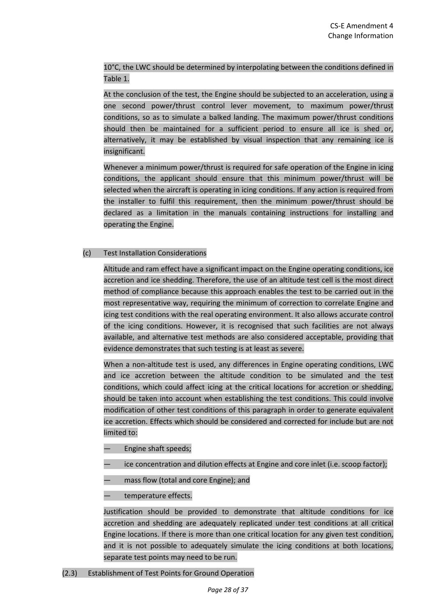10°C, the LWC should be determined by interpolating between the conditions defined in Table 1.

At the conclusion of the test, the Engine should be subjected to an acceleration, using a one second power/thrust control lever movement, to maximum power/thrust conditions, so as to simulate a balked landing. The maximum power/thrust conditions should then be maintained for a sufficient period to ensure all ice is shed or, alternatively, it may be established by visual inspection that any remaining ice is insignificant.

Whenever a minimum power/thrust is required for safe operation of the Engine in icing conditions, the applicant should ensure that this minimum power/thrust will be selected when the aircraft is operating in icing conditions. If any action is required from the installer to fulfil this requirement, then the minimum power/thrust should be declared as a limitation in the manuals containing instructions for installing and operating the Engine.

# (c) Test Installation Considerations

Altitude and ram effect have a significant impact on the Engine operating conditions, ice accretion and ice shedding. Therefore, the use of an altitude test cell is the most direct method of compliance because this approach enables the test to be carried out in the most representative way, requiring the minimum of correction to correlate Engine and icing test conditions with the real operating environment. It also allows accurate control of the icing conditions. However, it is recognised that such facilities are not always available, and alternative test methods are also considered acceptable, providing that evidence demonstrates that such testing is at least as severe.

When a non-altitude test is used, any differences in Engine operating conditions, LWC and ice accretion between the altitude condition to be simulated and the test conditions, which could affect icing at the critical locations for accretion or shedding, should be taken into account when establishing the test conditions. This could involve modification of other test conditions of this paragraph in order to generate equivalent ice accretion. Effects which should be considered and corrected for include but are not limited to:

- Engine shaft speeds;
- ice concentration and dilution effects at Engine and core inlet (i.e. scoop factor);
- mass flow (total and core Engine); and
- temperature effects.

Justification should be provided to demonstrate that altitude conditions for ice accretion and shedding are adequately replicated under test conditions at all critical Engine locations. If there is more than one critical location for any given test condition, and it is not possible to adequately simulate the icing conditions at both locations, separate test points may need to be run.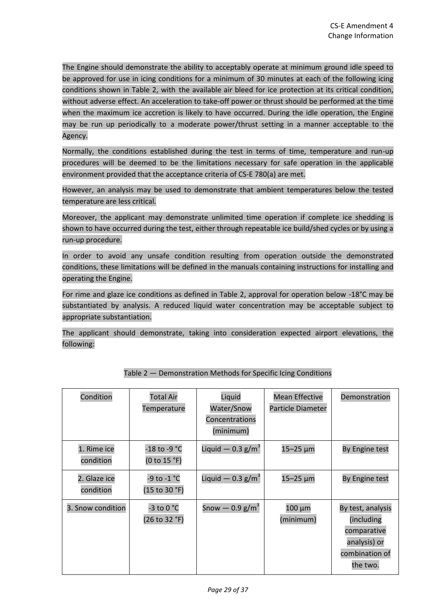The Engine should demonstrate the ability to acceptably operate at minimum ground idle speed to be approved for use in icing conditions for a minimum of 30 minutes at each of the following icing conditions shown in Table 2, with the available air bleed for ice protection at its critical condition, without adverse effect. An acceleration to take-off power or thrust should be performed at the time when the maximum ice accretion is likely to have occurred. During the idle operation, the Engine may be run up periodically to a moderate power/thrust setting in a manner acceptable to the Agency.

Normally, the conditions established during the test in terms of time, temperature and run-up procedures will be deemed to be the limitations necessary for safe operation in the applicable environment provided that the acceptance criteria of CS-E 780(a) are met.

However, an analysis may be used to demonstrate that ambient temperatures below the tested temperature are less critical.

Moreover, the applicant may demonstrate unlimited time operation if complete ice shedding is shown to have occurred during the test, either through repeatable ice build/shed cycles or by using a run-up procedure.

In order to avoid any unsafe condition resulting from operation outside the demonstrated conditions, these limitations will be defined in the manuals containing instructions for installing and operating the Engine.

For rime and glaze ice conditions as defined in Table 2, approval for operation below -18°C may be substantiated by analysis. A reduced liquid water concentration may be acceptable subject to appropriate substantiation.

The applicant should demonstrate, taking into consideration expected airport elevations, the following:

| Condition                 | <b>Total Air</b><br>Temperature | Liquid<br>Water/Snow<br>Concentrations<br>(minimum) | <b>Mean Effective</b><br>Particle Diameter | Demonstration                                                                                |
|---------------------------|---------------------------------|-----------------------------------------------------|--------------------------------------------|----------------------------------------------------------------------------------------------|
| 1. Rime ice<br>condition  | -18 to -9 °C<br>(0 to 15 °F)    | Liquid $-$ 0.3 g/m <sup>3</sup>                     | 15-25 µm                                   | By Engine test                                                                               |
| 2. Glaze ice<br>condition | -9 to -1 °C<br>(15 to 30 °F)    | Liquid $-$ 0.3 g/m <sup>3</sup>                     | 15-25 µm                                   | By Engine test                                                                               |
| 3. Snow condition         | -3 to 0 °C<br>(26 to 32 °F)     | Snow $-$ 0.9 g/m <sup>3</sup>                       | 100 μm<br>(minimum)                        | By test, analysis<br>(including<br>comparative<br>analysis) or<br>combination of<br>the two. |

Table 2 — Demonstration Methods for Specific Icing Conditions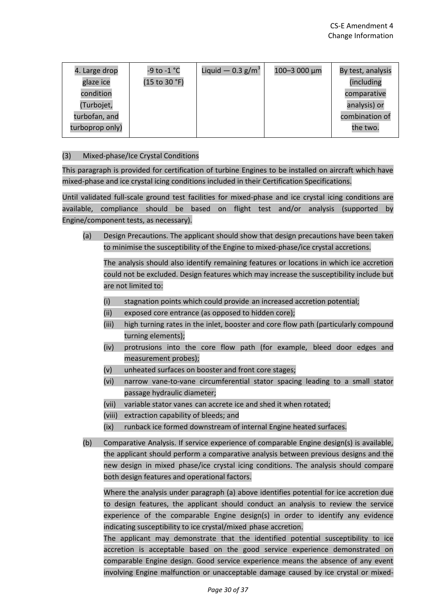| 4. Large drop   | -9 to -1 °C   | Liquid $-$ 0.3 g/m <sup>3</sup> | 100-3 000 µm | By test, analysis |
|-----------------|---------------|---------------------------------|--------------|-------------------|
| glaze ice       | (15 to 30 °F) |                                 |              | (including        |
| condition       |               |                                 |              | comparative       |
| (Turbojet,      |               |                                 |              | analysis) or      |
| turbofan, and   |               |                                 |              | combination of    |
| turboprop only) |               |                                 |              | the two.          |

# (3) Mixed-phase/Ice Crystal Conditions

This paragraph is provided for certification of turbine Engines to be installed on aircraft which have mixed-phase and ice crystal icing conditions included in their Certification Specifications.

Until validated full-scale ground test facilities for mixed-phase and ice crystal icing conditions are available, compliance should be based on flight test and/or analysis (supported by Engine/component tests, as necessary).

(a) Design Precautions. The applicant should show that design precautions have been taken to minimise the susceptibility of the Engine to mixed-phase/ice crystal accretions.

The analysis should also identify remaining features or locations in which ice accretion could not be excluded. Design features which may increase the susceptibility include but are not limited to:

- (i) stagnation points which could provide an increased accretion potential;
- (ii) exposed core entrance (as opposed to hidden core);
- (iii) high turning rates in the inlet, booster and core flow path (particularly compound turning elements);
- (iv) protrusions into the core flow path (for example, bleed door edges and measurement probes);
- (v) unheated surfaces on booster and front core stages;
- (vi) narrow vane-to-vane circumferential stator spacing leading to a small stator passage hydraulic diameter;
- (vii) variable stator vanes can accrete ice and shed it when rotated;
- (viii) extraction capability of bleeds; and
- (ix) runback ice formed downstream of internal Engine heated surfaces.
- (b) Comparative Analysis. If service experience of comparable Engine design(s) is available, the applicant should perform a comparative analysis between previous designs and the new design in mixed phase/ice crystal icing conditions. The analysis should compare both design features and operational factors.

Where the analysis under paragraph (a) above identifies potential for ice accretion due to design features, the applicant should conduct an analysis to review the service experience of the comparable Engine design(s) in order to identify any evidence indicating susceptibility to ice crystal/mixed phase accretion.

The applicant may demonstrate that the identified potential susceptibility to ice accretion is acceptable based on the good service experience demonstrated on comparable Engine design. Good service experience means the absence of any event involving Engine malfunction or unacceptable damage caused by ice crystal or mixed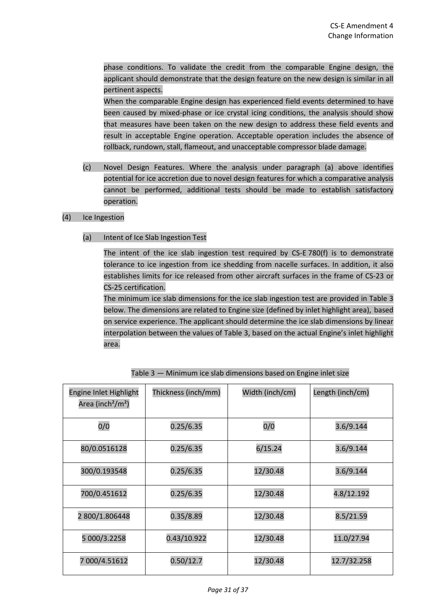phase conditions. To validate the credit from the comparable Engine design, the applicant should demonstrate that the design feature on the new design is similar in all pertinent aspects.

When the comparable Engine design has experienced field events determined to have been caused by mixed-phase or ice crystal icing conditions, the analysis should show that measures have been taken on the new design to address these field events and result in acceptable Engine operation. Acceptable operation includes the absence of rollback, rundown, stall, flameout, and unacceptable compressor blade damage.

(c) Novel Design Features. Where the analysis under paragraph (a) above identifies potential for ice accretion due to novel design features for which a comparative analysis cannot be performed, additional tests should be made to establish satisfactory operation.

### (4) Ice Ingestion

(a) Intent of Ice Slab Ingestion Test

The intent of the ice slab ingestion test required by CS-E 780(f) is to demonstrate tolerance to ice ingestion from ice shedding from nacelle surfaces. In addition, it also establishes limits for ice released from other aircraft surfaces in the frame of CS-23 or CS-25 certification.

The minimum ice slab dimensions for the ice slab ingestion test are provided in Table 3 below. The dimensions are related to Engine size (defined by inlet highlight area), based on service experience. The applicant should determine the ice slab dimensions by linear interpolation between the values of Table 3, based on the actual Engine's inlet highlight area.

| Engine Inlet Highlight<br>Area (inch <sup>2</sup> /m <sup>2</sup> ) | Thickness (inch/mm) | Width (inch/cm) | Length (inch/cm) |
|---------------------------------------------------------------------|---------------------|-----------------|------------------|
| 0/0                                                                 | 0.25/6.35           | 0/0             | 3.6/9.144        |
| 80/0.0516128                                                        | 0.25/6.35           | 6/15.24         | 3.6/9.144        |
| 300/0.193548                                                        | 0.25/6.35           | 12/30.48        | 3.6/9.144        |
| 700/0.451612                                                        | 0.25/6.35           | 12/30.48        | 4.8/12.192       |
| 2 800/1.806448                                                      | 0.35/8.89           | 12/30.48        | 8.5/21.59        |
| 5 000/3.2258                                                        | 0.43/10.922         | 12/30.48        | 11.0/27.94       |
| 7 000/4.51612                                                       | 0.50/12.7           | 12/30.48        | 12.7/32.258      |

| Table 3 - Minimum ice slab dimensions based on Engine inlet size |
|------------------------------------------------------------------|
|------------------------------------------------------------------|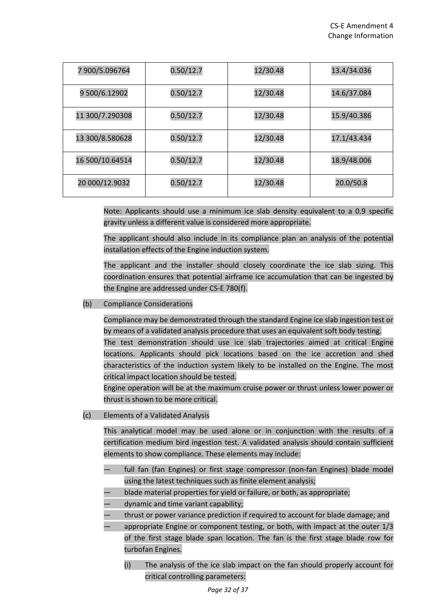| 7 900/5.096764  | 0.50/12.7 | 12/30.48 | 13.4/34.036 |
|-----------------|-----------|----------|-------------|
| 9 500/6.12902   | 0.50/12.7 | 12/30.48 | 14.6/37.084 |
| 11 300/7.290308 | 0.50/12.7 | 12/30.48 | 15.9/40.386 |
| 13 300/8.580628 | 0.50/12.7 | 12/30.48 | 17.1/43.434 |
| 16 500/10.64514 | 0.50/12.7 | 12/30.48 | 18.9/48.006 |
| 20 000/12.9032  | 0.50/12.7 | 12/30.48 | 20.0/50.8   |

Note: Applicants should use a minimum ice slab density equivalent to a 0.9 specific gravity unless a different value is considered more appropriate.

The applicant should also include in its compliance plan an analysis of the potential installation effects of the Engine induction system.

The applicant and the installer should closely coordinate the ice slab sizing. This coordination ensures that potential airframe ice accumulation that can be ingested by the Engine are addressed under CS-E 780(f).

(b) Compliance Considerations

Compliance may be demonstrated through the standard Engine ice slab ingestion test or by means of a validated analysis procedure that uses an equivalent soft body testing. The test demonstration should use ice slab trajectories aimed at critical Engine locations. Applicants should pick locations based on the ice accretion and shed characteristics of the induction system likely to be installed on the Engine. The most critical impact location should be tested.

Engine operation will be at the maximum cruise power or thrust unless lower power or thrust is shown to be more critical.

(c) Elements of a Validated Analysis

This analytical model may be used alone or in conjunction with the results of a certification medium bird ingestion test. A validated analysis should contain sufficient elements to show compliance. These elements may include:

- full fan (fan Engines) or first stage compressor (non-fan Engines) blade model using the latest techniques such as finite element analysis;
- blade material properties for yield or failure, or both, as appropriate;
- dynamic and time variant capability;
- thrust or power variance prediction if required to account for blade damage; and
- appropriate Engine or component testing, or both, with impact at the outer  $1/3$ of the first stage blade span location. The fan is the first stage blade row for turbofan Engines.
	- (i) The analysis of the ice slab impact on the fan should properly account for critical controlling parameters: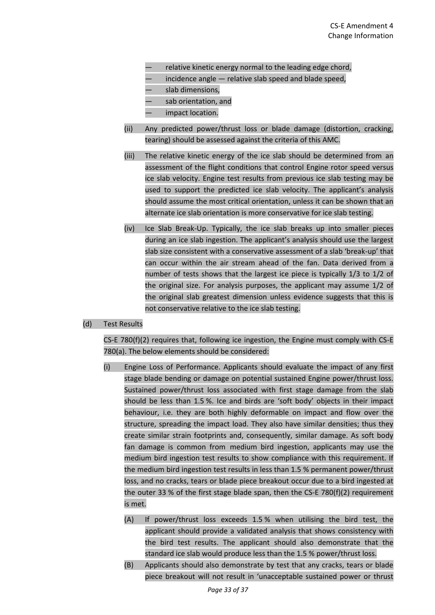- relative kinetic energy normal to the leading edge chord,
- incidence angle relative slab speed and blade speed,
- slab dimensions,
- sab orientation, and
- impact location.
- (ii) Any predicted power/thrust loss or blade damage (distortion, cracking, tearing) should be assessed against the criteria of this AMC.
- (iii) The relative kinetic energy of the ice slab should be determined from an assessment of the flight conditions that control Engine rotor speed versus ice slab velocity. Engine test results from previous ice slab testing may be used to support the predicted ice slab velocity. The applicant's analysis should assume the most critical orientation, unless it can be shown that an alternate ice slab orientation is more conservative for ice slab testing.
- (iv) Ice Slab Break-Up. Typically, the ice slab breaks up into smaller pieces during an ice slab ingestion. The applicant's analysis should use the largest slab size consistent with a conservative assessment of a slab 'break-up' that can occur within the air stream ahead of the fan. Data derived from a number of tests shows that the largest ice piece is typically 1/3 to 1/2 of the original size. For analysis purposes, the applicant may assume 1/2 of the original slab greatest dimension unless evidence suggests that this is not conservative relative to the ice slab testing.

### (d) Test Results

CS-E 780(f)(2) requires that, following ice ingestion, the Engine must comply with CS-E 780(a). The below elements should be considered:

- (i) Engine Loss of Performance. Applicants should evaluate the impact of any first stage blade bending or damage on potential sustained Engine power/thrust loss. Sustained power/thrust loss associated with first stage damage from the slab should be less than 1.5 %. Ice and birds are 'soft body' objects in their impact behaviour, i.e. they are both highly deformable on impact and flow over the structure, spreading the impact load. They also have similar densities; thus they create similar strain footprints and, consequently, similar damage. As soft body fan damage is common from medium bird ingestion, applicants may use the medium bird ingestion test results to show compliance with this requirement. If the medium bird ingestion test results in less than 1.5 % permanent power/thrust loss, and no cracks, tears or blade piece breakout occur due to a bird ingested at the outer 33 % of the first stage blade span, then the CS-E 780(f)(2) requirement is met.
	- (A) If power/thrust loss exceeds 1.5 % when utilising the bird test, the applicant should provide a validated analysis that shows consistency with the bird test results. The applicant should also demonstrate that the standard ice slab would produce less than the 1.5 % power/thrust loss.
	- (B) Applicants should also demonstrate by test that any cracks, tears or blade piece breakout will not result in 'unacceptable sustained power or thrust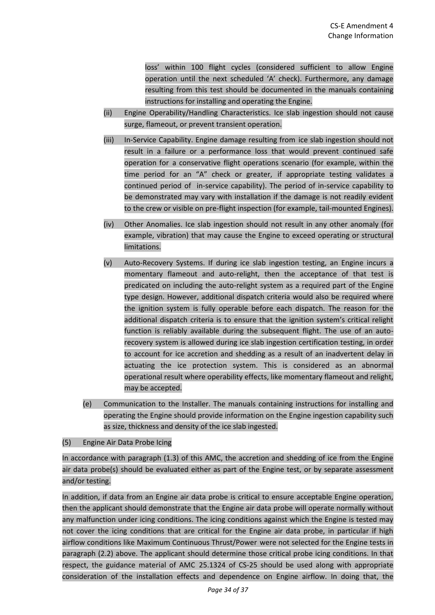loss' within 100 flight cycles (considered sufficient to allow Engine operation until the next scheduled 'A' check). Furthermore, any damage resulting from this test should be documented in the manuals containing instructions for installing and operating the Engine.

- (ii) Engine Operability/Handling Characteristics. Ice slab ingestion should not cause surge, flameout, or prevent transient operation.
- (iii) In-Service Capability. Engine damage resulting from ice slab ingestion should not result in a failure or a performance loss that would prevent continued safe operation for a conservative flight operations scenario (for example, within the time period for an "A" check or greater, if appropriate testing validates a continued period of in-service capability). The period of in-service capability to be demonstrated may vary with installation if the damage is not readily evident to the crew or visible on pre-flight inspection (for example, tail-mounted Engines).
- (iv) Other Anomalies. Ice slab ingestion should not result in any other anomaly (for example, vibration) that may cause the Engine to exceed operating or structural limitations.
- (v) Auto-Recovery Systems. If during ice slab ingestion testing, an Engine incurs a momentary flameout and auto-relight, then the acceptance of that test is predicated on including the auto-relight system as a required part of the Engine type design. However, additional dispatch criteria would also be required where the ignition system is fully operable before each dispatch. The reason for the additional dispatch criteria is to ensure that the ignition system's critical relight function is reliably available during the subsequent flight. The use of an autorecovery system is allowed during ice slab ingestion certification testing, in order to account for ice accretion and shedding as a result of an inadvertent delay in actuating the ice protection system. This is considered as an abnormal operational result where operability effects, like momentary flameout and relight, may be accepted.
- (e) Communication to the Installer. The manuals containing instructions for installing and operating the Engine should provide information on the Engine ingestion capability such as size, thickness and density of the ice slab ingested.

# (5) Engine Air Data Probe Icing

In accordance with paragraph (1.3) of this AMC, the accretion and shedding of ice from the Engine air data probe(s) should be evaluated either as part of the Engine test, or by separate assessment and/or testing.

In addition, if data from an Engine air data probe is critical to ensure acceptable Engine operation, then the applicant should demonstrate that the Engine air data probe will operate normally without any malfunction under icing conditions. The icing conditions against which the Engine is tested may not cover the icing conditions that are critical for the Engine air data probe, in particular if high airflow conditions like Maximum Continuous Thrust/Power were not selected for the Engine tests in paragraph (2.2) above. The applicant should determine those critical probe icing conditions. In that respect, the guidance material of AMC 25.1324 of CS-25 should be used along with appropriate consideration of the installation effects and dependence on Engine airflow. In doing that, the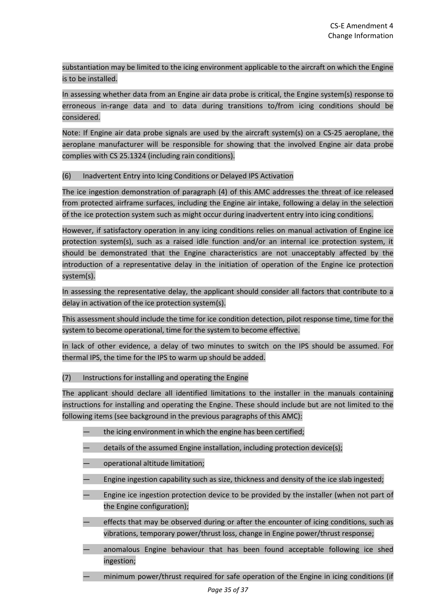substantiation may be limited to the icing environment applicable to the aircraft on which the Engine is to be installed.

In assessing whether data from an Engine air data probe is critical, the Engine system(s) response to erroneous in-range data and to data during transitions to/from icing conditions should be considered.

Note: If Engine air data probe signals are used by the aircraft system(s) on a CS-25 aeroplane, the aeroplane manufacturer will be responsible for showing that the involved Engine air data probe complies with CS 25.1324 (including rain conditions).

# (6) Inadvertent Entry into Icing Conditions or Delayed IPS Activation

The ice ingestion demonstration of paragraph (4) of this AMC addresses the threat of ice released from protected airframe surfaces, including the Engine air intake, following a delay in the selection of the ice protection system such as might occur during inadvertent entry into icing conditions.

However, if satisfactory operation in any icing conditions relies on manual activation of Engine ice protection system(s), such as a raised idle function and/or an internal ice protection system, it should be demonstrated that the Engine characteristics are not unacceptably affected by the introduction of a representative delay in the initiation of operation of the Engine ice protection system(s).

In assessing the representative delay, the applicant should consider all factors that contribute to a delay in activation of the ice protection system(s).

This assessment should include the time for ice condition detection, pilot response time, time for the system to become operational, time for the system to become effective.

In lack of other evidence, a delay of two minutes to switch on the IPS should be assumed. For thermal IPS, the time for the IPS to warm up should be added.

#### (7) Instructions for installing and operating the Engine

The applicant should declare all identified limitations to the installer in the manuals containing instructions for installing and operating the Engine. These should include but are not limited to the following items (see background in the previous paragraphs of this AMC):

- the icing environment in which the engine has been certified;
- details of the assumed Engine installation, including protection device(s);
- operational altitude limitation;
- Engine ingestion capability such as size, thickness and density of the ice slab ingested;
- Engine ice ingestion protection device to be provided by the installer (when not part of the Engine configuration);
- effects that may be observed during or after the encounter of icing conditions, such as vibrations, temporary power/thrust loss, change in Engine power/thrust response;
- anomalous Engine behaviour that has been found acceptable following ice shed ingestion;
	- minimum power/thrust required for safe operation of the Engine in icing conditions (if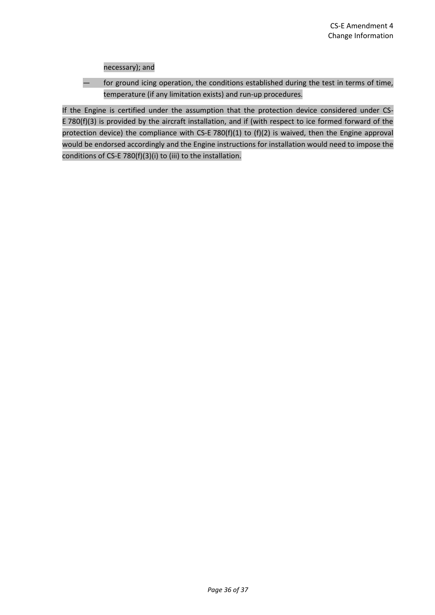necessary); and

— for ground icing operation, the conditions established during the test in terms of time, temperature (if any limitation exists) and run-up procedures.

If the Engine is certified under the assumption that the protection device considered under CS-E 780(f)(3) is provided by the aircraft installation, and if (with respect to ice formed forward of the protection device) the compliance with CS-E 780(f)(1) to (f)(2) is waived, then the Engine approval would be endorsed accordingly and the Engine instructions for installation would need to impose the conditions of CS-E 780(f)(3)(i) to (iii) to the installation.